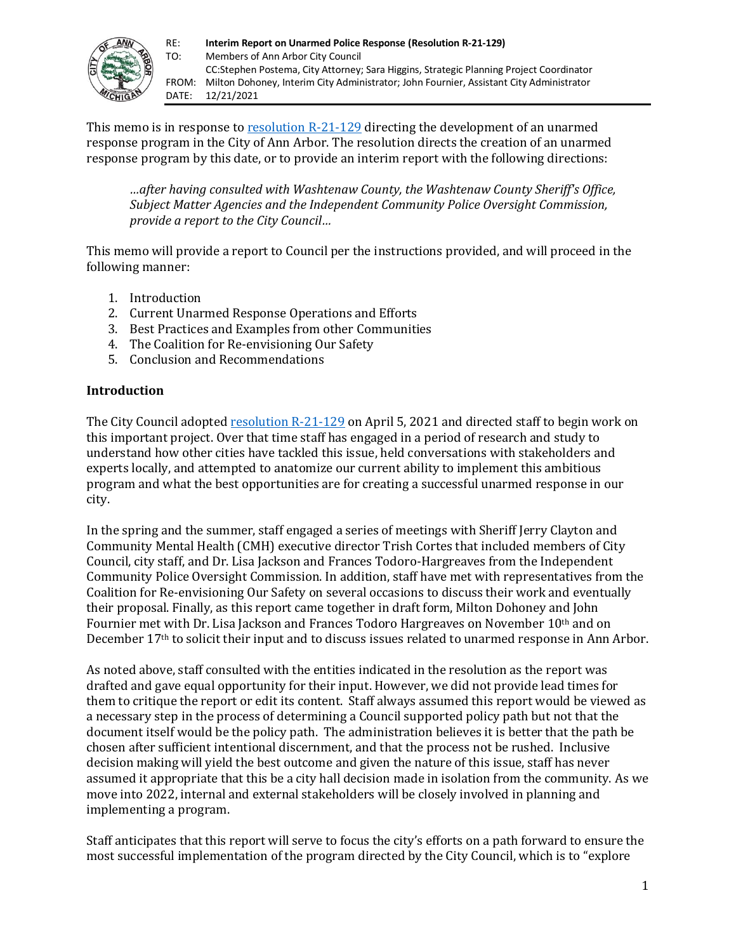

This memo is in response to [resolution R-21-129](https://a2gov.legistar.com/LegislationDetail.aspx?ID=4874520&GUID=84A3D90E-7AF3-46C9-98B8-FE4789A7DAB1&Options=Advanced&Search=) directing the development of an unarmed response program in the City of Ann Arbor. The resolution directs the creation of an unarmed response program by this date, or to provide an interim report with the following directions:

*…after having consulted with Washtenaw County, the Washtenaw County Sheriff's Office, Subject Matter Agencies and the Independent Community Police Oversight Commission, provide a report to the City Council…*

This memo will provide a report to Council per the instructions provided, and will proceed in the following manner:

- 1. Introduction
- 2. Current Unarmed Response Operations and Efforts
- 3. Best Practices and Examples from other Communities
- 4. The Coalition for Re-envisioning Our Safety
- 5. Conclusion and Recommendations

### **Introduction**

The City Council adopted [resolution R-21-129](https://a2gov.legistar.com/LegislationDetail.aspx?ID=4874520&GUID=84A3D90E-7AF3-46C9-98B8-FE4789A7DAB1&Options=Advanced&Search=) on April 5, 2021 and directed staff to begin work on this important project. Over that time staff has engaged in a period of research and study to understand how other cities have tackled this issue, held conversations with stakeholders and experts locally, and attempted to anatomize our current ability to implement this ambitious program and what the best opportunities are for creating a successful unarmed response in our city.

In the spring and the summer, staff engaged a series of meetings with Sheriff Jerry Clayton and Community Mental Health (CMH) executive director Trish Cortes that included members of City Council, city staff, and Dr. Lisa Jackson and Frances Todoro-Hargreaves from the Independent Community Police Oversight Commission. In addition, staff have met with representatives from the Coalition for Re-envisioning Our Safety on several occasions to discuss their work and eventually their proposal. Finally, as this report came together in draft form, Milton Dohoney and John Fournier met with Dr. Lisa Jackson and Frances Todoro Hargreaves on November 10th and on December 17th to solicit their input and to discuss issues related to unarmed response in Ann Arbor.

As noted above, staff consulted with the entities indicated in the resolution as the report was drafted and gave equal opportunity for their input. However, we did not provide lead times for them to critique the report or edit its content. Staff always assumed this report would be viewed as a necessary step in the process of determining a Council supported policy path but not that the document itself would be the policy path. The administration believes it is better that the path be chosen after sufficient intentional discernment, and that the process not be rushed. Inclusive decision making will yield the best outcome and given the nature of this issue, staff has never assumed it appropriate that this be a city hall decision made in isolation from the community. As we move into 2022, internal and external stakeholders will be closely involved in planning and implementing a program.

Staff anticipates that this report will serve to focus the city's efforts on a path forward to ensure the most successful implementation of the program directed by the City Council, which is to "explore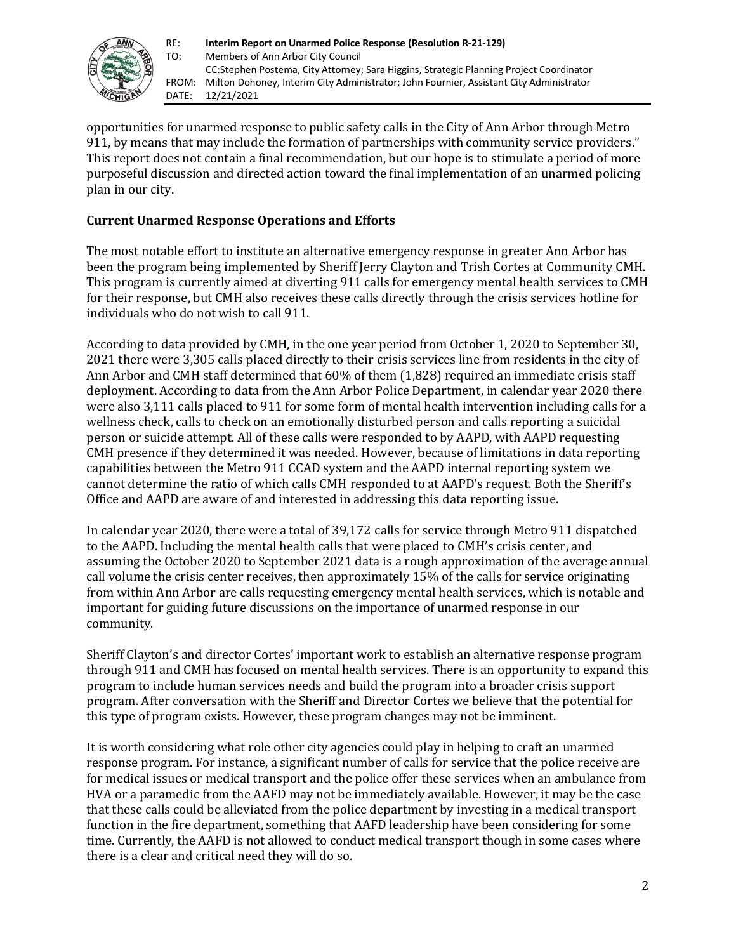

opportunities for unarmed response to public safety calls in the City of Ann Arbor through Metro 911, by means that may include the formation of partnerships with community service providers." This report does not contain a final recommendation, but our hope is to stimulate a period of more purposeful discussion and directed action toward the final implementation of an unarmed policing plan in our city.

## **Current Unarmed Response Operations and Efforts**

The most notable effort to institute an alternative emergency response in greater Ann Arbor has been the program being implemented by Sheriff Jerry Clayton and Trish Cortes at Community CMH. This program is currently aimed at diverting 911 calls for emergency mental health services to CMH for their response, but CMH also receives these calls directly through the crisis services hotline for individuals who do not wish to call 911.

According to data provided by CMH, in the one year period from October 1, 2020 to September 30, 2021 there were 3,305 calls placed directly to their crisis services line from residents in the city of Ann Arbor and CMH staff determined that 60% of them (1,828) required an immediate crisis staff deployment. According to data from the Ann Arbor Police Department, in calendar year 2020 there were also 3,111 calls placed to 911 for some form of mental health intervention including calls for a wellness check, calls to check on an emotionally disturbed person and calls reporting a suicidal person or suicide attempt. All of these calls were responded to by AAPD, with AAPD requesting CMH presence if they determined it was needed. However, because of limitations in data reporting capabilities between the Metro 911 CCAD system and the AAPD internal reporting system we cannot determine the ratio of which calls CMH responded to at AAPD's request. Both the Sheriff's Office and AAPD are aware of and interested in addressing this data reporting issue.

In calendar year 2020, there were a total of 39,172 calls for service through Metro 911 dispatched to the AAPD. Including the mental health calls that were placed to CMH's crisis center, and assuming the October 2020 to September 2021 data is a rough approximation of the average annual call volume the crisis center receives, then approximately 15% of the calls for service originating from within Ann Arbor are calls requesting emergency mental health services, which is notable and important for guiding future discussions on the importance of unarmed response in our community.

Sheriff Clayton's and director Cortes' important work to establish an alternative response program through 911 and CMH has focused on mental health services. There is an opportunity to expand this program to include human services needs and build the program into a broader crisis support program. After conversation with the Sheriff and Director Cortes we believe that the potential for this type of program exists. However, these program changes may not be imminent.

It is worth considering what role other city agencies could play in helping to craft an unarmed response program. For instance, a significant number of calls for service that the police receive are for medical issues or medical transport and the police offer these services when an ambulance from HVA or a paramedic from the AAFD may not be immediately available. However, it may be the case that these calls could be alleviated from the police department by investing in a medical transport function in the fire department, something that AAFD leadership have been considering for some time. Currently, the AAFD is not allowed to conduct medical transport though in some cases where there is a clear and critical need they will do so.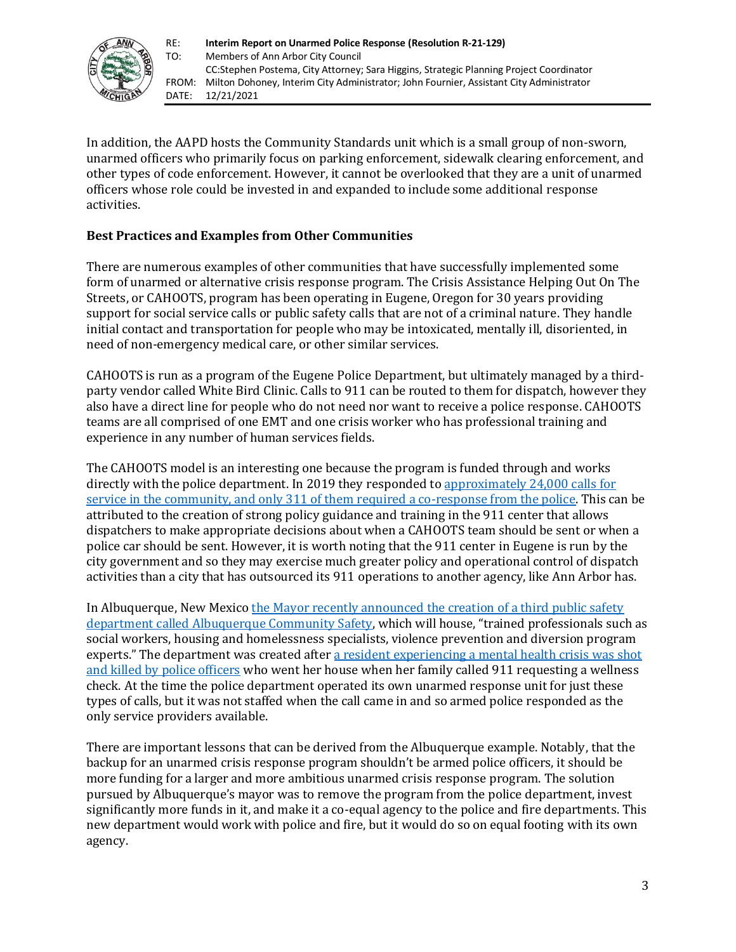

In addition, the AAPD hosts the Community Standards unit which is a small group of non-sworn, unarmed officers who primarily focus on parking enforcement, sidewalk clearing enforcement, and other types of code enforcement. However, it cannot be overlooked that they are a unit of unarmed officers whose role could be invested in and expanded to include some additional response activities.

# **Best Practices and Examples from Other Communities**

There are numerous examples of other communities that have successfully implemented some form of unarmed or alternative crisis response program. The Crisis Assistance Helping Out On The Streets, or CAHOOTS, program has been operating in Eugene, Oregon for 30 years providing support for social service calls or public safety calls that are not of a criminal nature. They handle initial contact and transportation for people who may be intoxicated, mentally ill, disoriented, in need of non-emergency medical care, or other similar services.

CAHOOTS is run as a program of the Eugene Police Department, but ultimately managed by a thirdparty vendor called White Bird Clinic. Calls to 911 can be routed to them for dispatch, however they also have a direct line for people who do not need nor want to receive a police response. CAHOOTS teams are all comprised of one EMT and one crisis worker who has professional training and experience in any number of human services fields.

The CAHOOTS model is an interesting one because the program is funded through and works directly with the police department. In 2019 they responded t[o approximately 24,000 calls for](https://www.vera.org/behavioral-health-crisis-alternatives/cahoots)  [service in the community, and only 311 of them required a co-response from the police.](https://www.vera.org/behavioral-health-crisis-alternatives/cahoots) This can be attributed to the creation of strong policy guidance and training in the 911 center that allows dispatchers to make appropriate decisions about when a CAHOOTS team should be sent or when a police car should be sent. However, it is worth noting that the 911 center in Eugene is run by the city government and so they may exercise much greater policy and operational control of dispatch activities than a city that has outsourced its 911 operations to another agency, like Ann Arbor has.

In Albuquerque, New Mexico the Mayor recently announced the creation of a third public safety [department called Albuquerque Community Safety](https://www.cabq.gov/mayor/news/mayor-tim-keller-to-refocus-millions-in-public-safety-resources-with-first-of-its-kind-civilian-response-department), which will house, "trained professionals such as social workers, housing and homelessness specialists, violence prevention and diversion program experts." The department was created after a resident experiencing a mental health crisis was shot [and killed by police officers](https://nmindepth.com/2021/01/17/albuquerques-vision-for-non-police-first-responders-comes-down-to-earth/) who went her house when her family called 911 requesting a wellness check. At the time the police department operated its own unarmed response unit for just these types of calls, but it was not staffed when the call came in and so armed police responded as the only service providers available.

There are important lessons that can be derived from the Albuquerque example. Notably, that the backup for an unarmed crisis response program shouldn't be armed police officers, it should be more funding for a larger and more ambitious unarmed crisis response program. The solution pursued by Albuquerque's mayor was to remove the program from the police department, invest significantly more funds in it, and make it a co-equal agency to the police and fire departments. This new department would work with police and fire, but it would do so on equal footing with its own agency.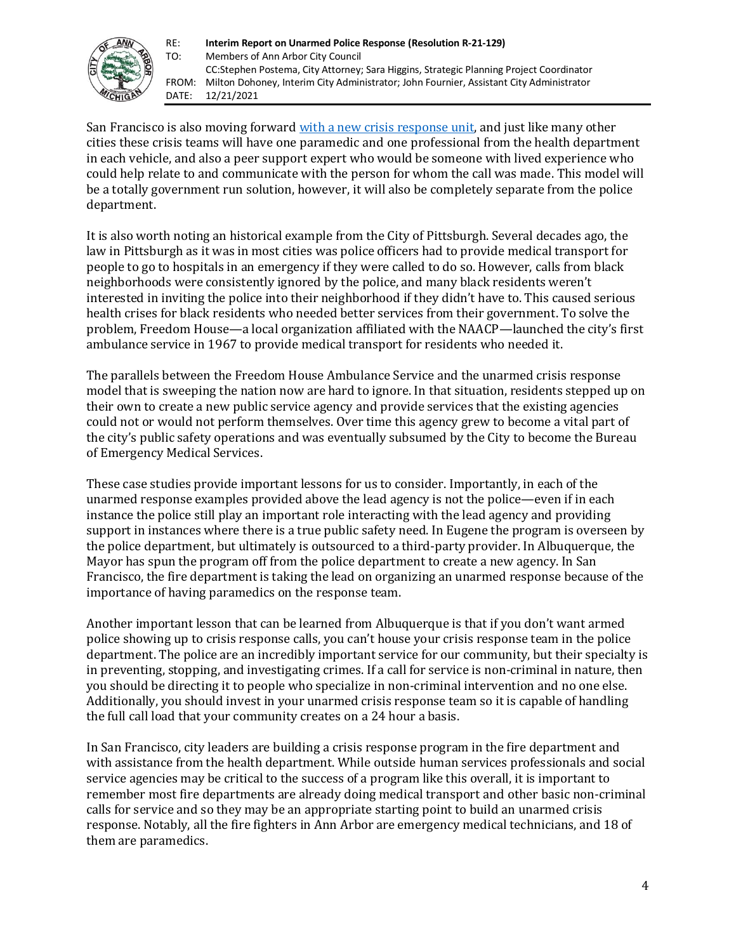

San Francisco is also moving forward [with a new crisis response unit,](https://www.npr.org/2020/10/19/924146486/removing-cops-from-behavioral-crisis-calls-we-need-to-change-the-model) and just like many other cities these crisis teams will have one paramedic and one professional from the health department in each vehicle, and also a peer support expert who would be someone with lived experience who could help relate to and communicate with the person for whom the call was made. This model will be a totally government run solution, however, it will also be completely separate from the police department.

It is also worth noting an historical example from the City of Pittsburgh. Several decades ago, the law in Pittsburgh as it was in most cities was police officers had to provide medical transport for people to go to hospitals in an emergency if they were called to do so. However, calls from black neighborhoods were consistently ignored by the police, and many black residents weren't interested in inviting the police into their neighborhood if they didn't have to. This caused serious health crises for black residents who needed better services from their government. To solve the problem, Freedom House—a local organization affiliated with the NAACP—launched the city's first ambulance service in 1967 to provide medical transport for residents who needed it.

The parallels between the Freedom House Ambulance Service and the unarmed crisis response model that is sweeping the nation now are hard to ignore. In that situation, residents stepped up on their own to create a new public service agency and provide services that the existing agencies could not or would not perform themselves. Over time this agency grew to become a vital part of the city's public safety operations and was eventually subsumed by the City to become the Bureau of Emergency Medical Services.

These case studies provide important lessons for us to consider. Importantly, in each of the unarmed response examples provided above the lead agency is not the police—even if in each instance the police still play an important role interacting with the lead agency and providing support in instances where there is a true public safety need. In Eugene the program is overseen by the police department, but ultimately is outsourced to a third-party provider. In Albuquerque, the Mayor has spun the program off from the police department to create a new agency. In San Francisco, the fire department is taking the lead on organizing an unarmed response because of the importance of having paramedics on the response team.

Another important lesson that can be learned from Albuquerque is that if you don't want armed police showing up to crisis response calls, you can't house your crisis response team in the police department. The police are an incredibly important service for our community, but their specialty is in preventing, stopping, and investigating crimes. If a call for service is non-criminal in nature, then you should be directing it to people who specialize in non-criminal intervention and no one else. Additionally, you should invest in your unarmed crisis response team so it is capable of handling the full call load that your community creates on a 24 hour a basis.

In San Francisco, city leaders are building a crisis response program in the fire department and with assistance from the health department. While outside human services professionals and social service agencies may be critical to the success of a program like this overall, it is important to remember most fire departments are already doing medical transport and other basic non-criminal calls for service and so they may be an appropriate starting point to build an unarmed crisis response. Notably, all the fire fighters in Ann Arbor are emergency medical technicians, and 18 of them are paramedics.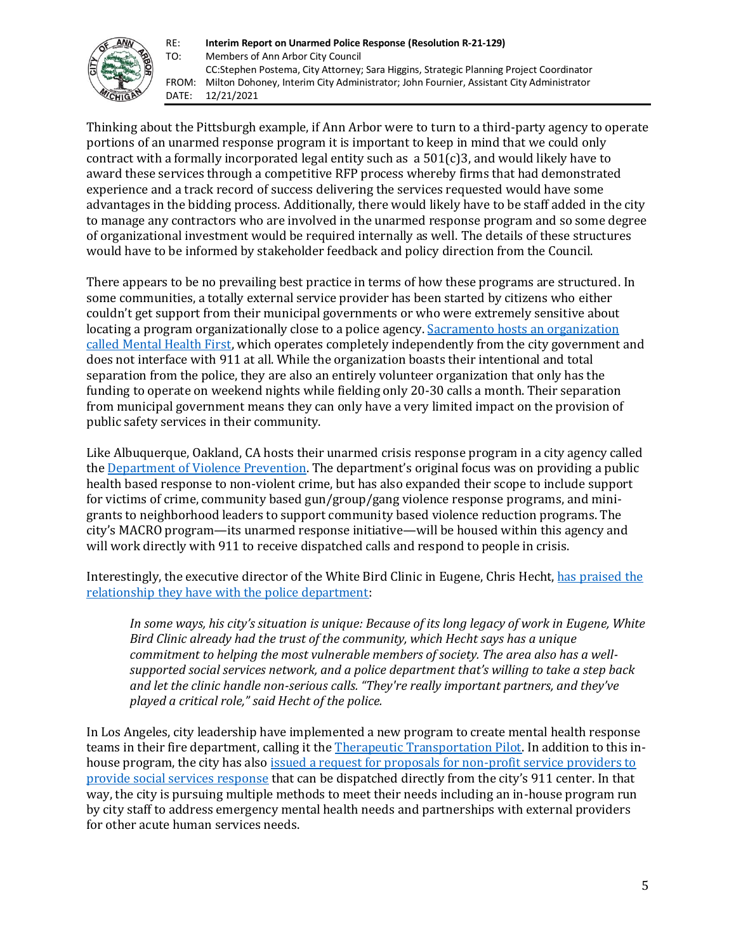

Thinking about the Pittsburgh example, if Ann Arbor were to turn to a third-party agency to operate portions of an unarmed response program it is important to keep in mind that we could only contract with a formally incorporated legal entity such as a  $501(c)3$ , and would likely have to award these services through a competitive RFP process whereby firms that had demonstrated experience and a track record of success delivering the services requested would have some advantages in the bidding process. Additionally, there would likely have to be staff added in the city to manage any contractors who are involved in the unarmed response program and so some degree of organizational investment would be required internally as well. The details of these structures would have to be informed by stakeholder feedback and policy direction from the Council.

There appears to be no prevailing best practice in terms of how these programs are structured. In some communities, a totally external service provider has been started by citizens who either couldn't get support from their municipal governments or who were extremely sensitive about locating a program organizationally close to a police agency. Sacramento hosts an organization [called Mental Health First,](https://www.kqed.org/news/11824698/what-one-alternative-to-policing-looks-like) which operates completely independently from the city government and does not interface with 911 at all. While the organization boasts their intentional and total separation from the police, they are also an entirely volunteer organization that only has the funding to operate on weekend nights while fielding only 20-30 calls a month. Their separation from municipal government means they can only have a very limited impact on the provision of public safety services in their community.

Like Albuquerque, Oakland, CA hosts their unarmed crisis response program in a city agency called th[e Department of Violence Prevention.](https://www.oaklandca.gov/departments/violence-prevention) The department's original focus was on providing a public health based response to non-violent crime, but has also expanded their scope to include support for victims of crime, community based gun/group/gang violence response programs, and minigrants to neighborhood leaders to support community based violence reduction programs. The city's MACRO program—its unarmed response initiative—will be housed within this agency and will work directly with 911 to receive dispatched calls and respond to people in crisis.

Interestingly, the executive director of the White Bird Clinic in Eugene, Chris Hecht, [has praised the](https://www.bloomberg.com/news/articles/2020-09-03/alternative-policing-models-emerge-in-u-s-cities)  [relationship they have with the police department:](https://www.bloomberg.com/news/articles/2020-09-03/alternative-policing-models-emerge-in-u-s-cities)

*In some ways, his city's situation is unique: Because of its long legacy of work in Eugene, White Bird Clinic already had the trust of the community, which Hecht says has a unique commitment to helping the most vulnerable members of society. The area also has a wellsupported social services network, and a police department that's willing to take a step back and let the clinic handle non-serious calls. "They're really important partners, and they've played a critical role," said Hecht of the police.*

In Los Angeles, city leadership have implemented a new program to create mental health response teams in their fire department, calling it th[e Therapeutic Transportation Pilot.](https://www.lamayor.org/mayor-garcetti-partnership-la-county-step-forward-police-reform-reimagining-public-safety) In addition to this inhouse program, the city has also issued a request for proposals for non-profit service providers to [provide social services response](https://www.foxla.com/news/la-city-council-moves-toward-developing-unarmed-crisis-response-model) that can be dispatched directly from the city's 911 center. In that way, the city is pursuing multiple methods to meet their needs including an in-house program run by city staff to address emergency mental health needs and partnerships with external providers for other acute human services needs.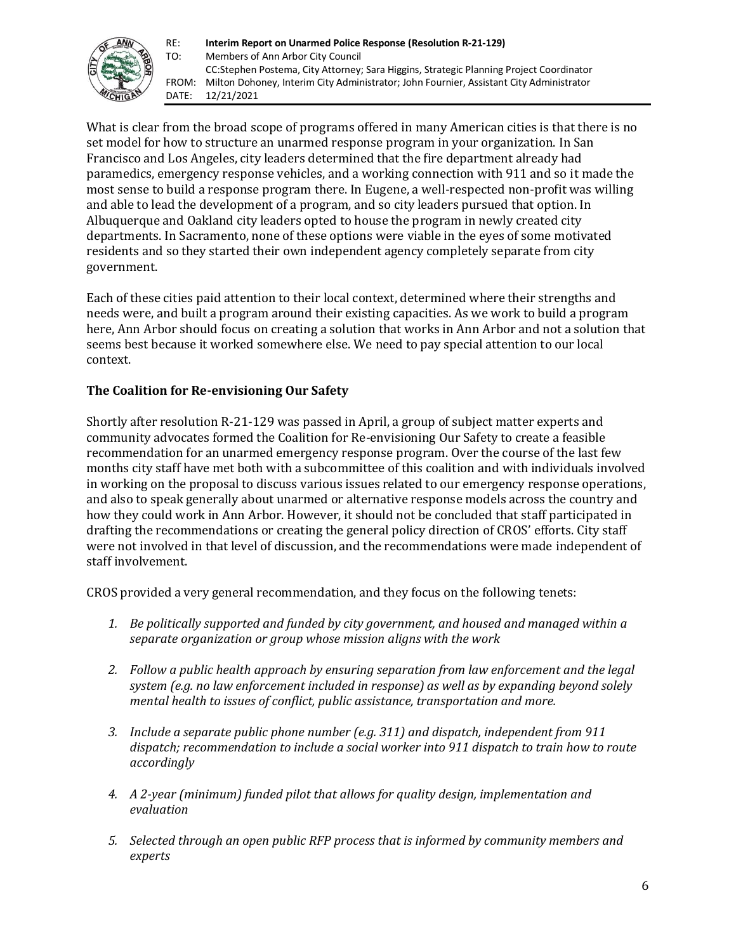

What is clear from the broad scope of programs offered in many American cities is that there is no set model for how to structure an unarmed response program in your organization. In San Francisco and Los Angeles, city leaders determined that the fire department already had paramedics, emergency response vehicles, and a working connection with 911 and so it made the most sense to build a response program there. In Eugene, a well-respected non-profit was willing and able to lead the development of a program, and so city leaders pursued that option. In Albuquerque and Oakland city leaders opted to house the program in newly created city departments. In Sacramento, none of these options were viable in the eyes of some motivated residents and so they started their own independent agency completely separate from city government.

Each of these cities paid attention to their local context, determined where their strengths and needs were, and built a program around their existing capacities. As we work to build a program here, Ann Arbor should focus on creating a solution that works in Ann Arbor and not a solution that seems best because it worked somewhere else. We need to pay special attention to our local context.

# **The Coalition for Re-envisioning Our Safety**

Shortly after resolution R-21-129 was passed in April, a group of subject matter experts and community advocates formed the Coalition for Re-envisioning Our Safety to create a feasible recommendation for an unarmed emergency response program. Over the course of the last few months city staff have met both with a subcommittee of this coalition and with individuals involved in working on the proposal to discuss various issues related to our emergency response operations, and also to speak generally about unarmed or alternative response models across the country and how they could work in Ann Arbor. However, it should not be concluded that staff participated in drafting the recommendations or creating the general policy direction of CROS' efforts. City staff were not involved in that level of discussion, and the recommendations were made independent of staff involvement.

CROS provided a very general recommendation, and they focus on the following tenets:

- *1. Be politically supported and funded by city government, and housed and managed within a separate organization or group whose mission aligns with the work*
- *2. Follow a public health approach by ensuring separation from law enforcement and the legal system (e.g. no law enforcement included in response) as well as by expanding beyond solely mental health to issues of conflict, public assistance, transportation and more.*
- *3. Include a separate public phone number (e.g. 311) and dispatch, independent from 911 dispatch; recommendation to include a social worker into 911 dispatch to train how to route accordingly*
- *4. A 2-year (minimum) funded pilot that allows for quality design, implementation and evaluation*
- *5. Selected through an open public RFP process that is informed by community members and experts*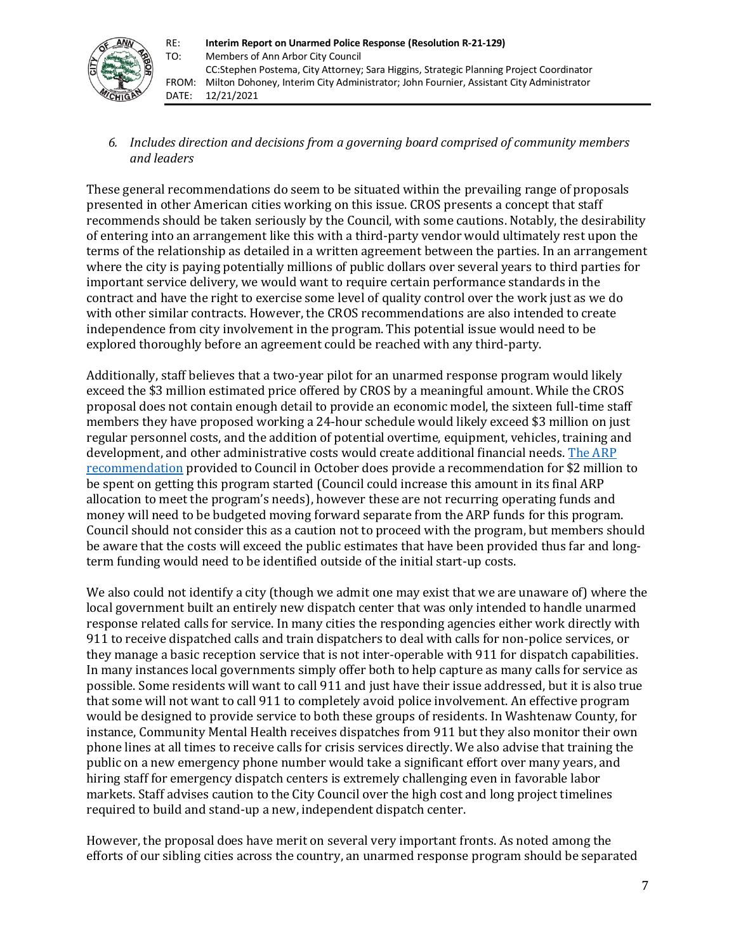

*6. Includes direction and decisions from a governing board comprised of community members and leaders*

These general recommendations do seem to be situated within the prevailing range of proposals presented in other American cities working on this issue. CROS presents a concept that staff recommends should be taken seriously by the Council, with some cautions. Notably, the desirability of entering into an arrangement like this with a third-party vendor would ultimately rest upon the terms of the relationship as detailed in a written agreement between the parties. In an arrangement where the city is paying potentially millions of public dollars over several years to third parties for important service delivery, we would want to require certain performance standards in the contract and have the right to exercise some level of quality control over the work just as we do with other similar contracts. However, the CROS recommendations are also intended to create independence from city involvement in the program. This potential issue would need to be explored thoroughly before an agreement could be reached with any third-party.

Additionally, staff believes that a two-year pilot for an unarmed response program would likely exceed the \$3 million estimated price offered by CROS by a meaningful amount. While the CROS proposal does not contain enough detail to provide an economic model, the sixteen full-time staff members they have proposed working a 24-hour schedule would likely exceed \$3 million on just regular personnel costs, and the addition of potential overtime, equipment, vehicles, training and development, and other administrative costs would create additional financial needs. [The ARP](http://a2gov.legistar.com/View.ashx?M=F&ID=9861463&GUID=DE3FB842-7FA6-40A6-9315-C3D2DC4B54C5)  [recommendation](http://a2gov.legistar.com/View.ashx?M=F&ID=9861463&GUID=DE3FB842-7FA6-40A6-9315-C3D2DC4B54C5) provided to Council in October does provide a recommendation for \$2 million to be spent on getting this program started (Council could increase this amount in its final ARP allocation to meet the program's needs), however these are not recurring operating funds and money will need to be budgeted moving forward separate from the ARP funds for this program. Council should not consider this as a caution not to proceed with the program, but members should be aware that the costs will exceed the public estimates that have been provided thus far and longterm funding would need to be identified outside of the initial start-up costs.

We also could not identify a city (though we admit one may exist that we are unaware of) where the local government built an entirely new dispatch center that was only intended to handle unarmed response related calls for service. In many cities the responding agencies either work directly with 911 to receive dispatched calls and train dispatchers to deal with calls for non-police services, or they manage a basic reception service that is not inter-operable with 911 for dispatch capabilities. In many instances local governments simply offer both to help capture as many calls for service as possible. Some residents will want to call 911 and just have their issue addressed, but it is also true that some will not want to call 911 to completely avoid police involvement. An effective program would be designed to provide service to both these groups of residents. In Washtenaw County, for instance, Community Mental Health receives dispatches from 911 but they also monitor their own phone lines at all times to receive calls for crisis services directly. We also advise that training the public on a new emergency phone number would take a significant effort over many years, and hiring staff for emergency dispatch centers is extremely challenging even in favorable labor markets. Staff advises caution to the City Council over the high cost and long project timelines required to build and stand-up a new, independent dispatch center.

However, the proposal does have merit on several very important fronts. As noted among the efforts of our sibling cities across the country, an unarmed response program should be separated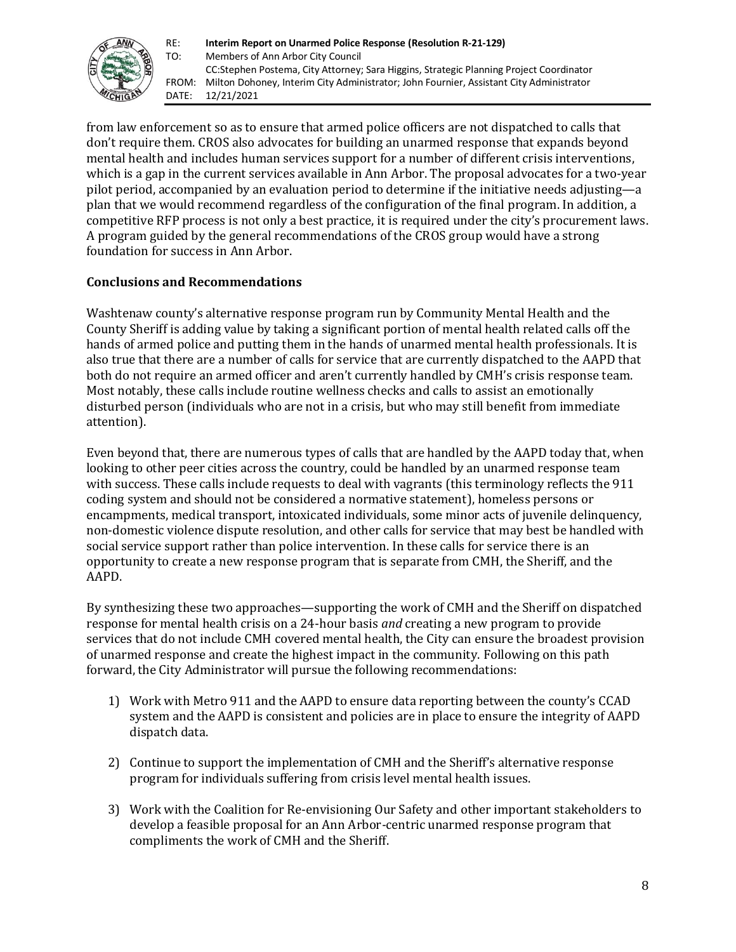

from law enforcement so as to ensure that armed police officers are not dispatched to calls that don't require them. CROS also advocates for building an unarmed response that expands beyond mental health and includes human services support for a number of different crisis interventions, which is a gap in the current services available in Ann Arbor. The proposal advocates for a two-year pilot period, accompanied by an evaluation period to determine if the initiative needs adjusting—a plan that we would recommend regardless of the configuration of the final program. In addition, a competitive RFP process is not only a best practice, it is required under the city's procurement laws. A program guided by the general recommendations of the CROS group would have a strong foundation for success in Ann Arbor.

### **Conclusions and Recommendations**

Washtenaw county's alternative response program run by Community Mental Health and the County Sheriff is adding value by taking a significant portion of mental health related calls off the hands of armed police and putting them in the hands of unarmed mental health professionals. It is also true that there are a number of calls for service that are currently dispatched to the AAPD that both do not require an armed officer and aren't currently handled by CMH's crisis response team. Most notably, these calls include routine wellness checks and calls to assist an emotionally disturbed person (individuals who are not in a crisis, but who may still benefit from immediate attention).

Even beyond that, there are numerous types of calls that are handled by the AAPD today that, when looking to other peer cities across the country, could be handled by an unarmed response team with success. These calls include requests to deal with vagrants (this terminology reflects the 911 coding system and should not be considered a normative statement), homeless persons or encampments, medical transport, intoxicated individuals, some minor acts of juvenile delinquency, non-domestic violence dispute resolution, and other calls for service that may best be handled with social service support rather than police intervention. In these calls for service there is an opportunity to create a new response program that is separate from CMH, the Sheriff, and the AAPD.

By synthesizing these two approaches—supporting the work of CMH and the Sheriff on dispatched response for mental health crisis on a 24-hour basis *and* creating a new program to provide services that do not include CMH covered mental health, the City can ensure the broadest provision of unarmed response and create the highest impact in the community. Following on this path forward, the City Administrator will pursue the following recommendations:

- 1) Work with Metro 911 and the AAPD to ensure data reporting between the county's CCAD system and the AAPD is consistent and policies are in place to ensure the integrity of AAPD dispatch data.
- 2) Continue to support the implementation of CMH and the Sheriff's alternative response program for individuals suffering from crisis level mental health issues.
- 3) Work with the Coalition for Re-envisioning Our Safety and other important stakeholders to develop a feasible proposal for an Ann Arbor-centric unarmed response program that compliments the work of CMH and the Sheriff.